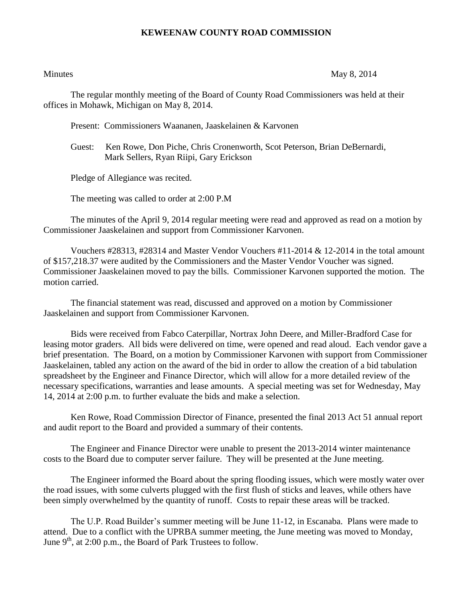## **KEWEENAW COUNTY ROAD COMMISSION**

Minutes May 8, 2014

The regular monthly meeting of the Board of County Road Commissioners was held at their offices in Mohawk, Michigan on May 8, 2014.

Present: Commissioners Waananen, Jaaskelainen & Karvonen

Guest: Ken Rowe, Don Piche, Chris Cronenworth, Scot Peterson, Brian DeBernardi, Mark Sellers, Ryan Riipi, Gary Erickson

Pledge of Allegiance was recited.

The meeting was called to order at 2:00 P.M

The minutes of the April 9, 2014 regular meeting were read and approved as read on a motion by Commissioner Jaaskelainen and support from Commissioner Karvonen.

Vouchers  $\#28313$ ,  $\#28314$  and Master Vendor Vouchers  $\#11$ -2014 & 12-2014 in the total amount of \$157,218.37 were audited by the Commissioners and the Master Vendor Voucher was signed. Commissioner Jaaskelainen moved to pay the bills. Commissioner Karvonen supported the motion. The motion carried.

The financial statement was read, discussed and approved on a motion by Commissioner Jaaskelainen and support from Commissioner Karvonen.

Bids were received from Fabco Caterpillar, Nortrax John Deere, and Miller-Bradford Case for leasing motor graders. All bids were delivered on time, were opened and read aloud. Each vendor gave a brief presentation. The Board, on a motion by Commissioner Karvonen with support from Commissioner Jaaskelainen, tabled any action on the award of the bid in order to allow the creation of a bid tabulation spreadsheet by the Engineer and Finance Director, which will allow for a more detailed review of the necessary specifications, warranties and lease amounts. A special meeting was set for Wednesday, May 14, 2014 at 2:00 p.m. to further evaluate the bids and make a selection.

Ken Rowe, Road Commission Director of Finance, presented the final 2013 Act 51 annual report and audit report to the Board and provided a summary of their contents.

The Engineer and Finance Director were unable to present the 2013-2014 winter maintenance costs to the Board due to computer server failure. They will be presented at the June meeting.

The Engineer informed the Board about the spring flooding issues, which were mostly water over the road issues, with some culverts plugged with the first flush of sticks and leaves, while others have been simply overwhelmed by the quantity of runoff. Costs to repair these areas will be tracked.

The U.P. Road Builder's summer meeting will be June 11-12, in Escanaba. Plans were made to attend. Due to a conflict with the UPRBA summer meeting, the June meeting was moved to Monday, June  $9<sup>th</sup>$ , at 2:00 p.m., the Board of Park Trustees to follow.